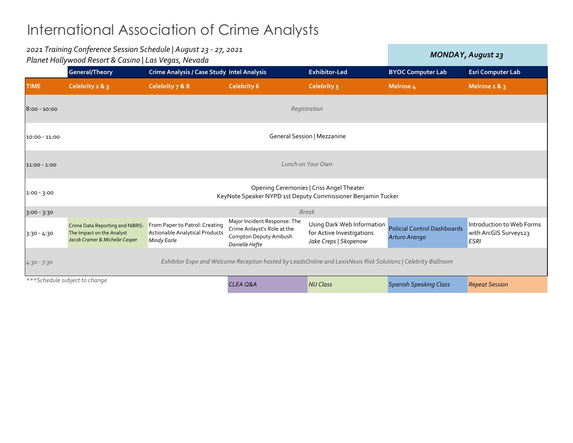|                 | 2021 Training Conference Session Schedule   August 23 - 27, 2021<br>Planet Hollywood Resort & Casino   Las Vegas, Nevada |                                                                                        |                                                                                                        |                                                                                  | <b>MONDAY, August 23</b>                            |                                                                   |
|-----------------|--------------------------------------------------------------------------------------------------------------------------|----------------------------------------------------------------------------------------|--------------------------------------------------------------------------------------------------------|----------------------------------------------------------------------------------|-----------------------------------------------------|-------------------------------------------------------------------|
|                 | General/Theory                                                                                                           | Crime Analysis / Case Study Intel Analysis                                             |                                                                                                        | <b>Exhibitor-Led</b>                                                             | <b>BYOC Computer Lab</b>                            | <b>Esri Computer Lab</b>                                          |
| <b>TIME</b>     | Celebrity 2 & 3                                                                                                          | Celebrity 7 & 8                                                                        | <b>Celebrity 6</b>                                                                                     | Celebrity 5                                                                      | Melrose 4                                           | Melrose $2 & 3$                                                   |
| $8:00 - 10:00$  | Registration                                                                                                             |                                                                                        |                                                                                                        |                                                                                  |                                                     |                                                                   |
| $10:00 - 11:00$ | <b>General Session   Mezzanine</b>                                                                                       |                                                                                        |                                                                                                        |                                                                                  |                                                     |                                                                   |
| $11:00 - 1:00$  | Lunch on Your Own                                                                                                        |                                                                                        |                                                                                                        |                                                                                  |                                                     |                                                                   |
| $1:00 - 3:00$   | Opening Ceremonies   Criss Angel Theater<br>KeyNote Speaker NYPD 1st Deputy Commissioner Benjamin Tucker                 |                                                                                        |                                                                                                        |                                                                                  |                                                     |                                                                   |
| $3:00 - 3:30$   | <b>Break</b>                                                                                                             |                                                                                        |                                                                                                        |                                                                                  |                                                     |                                                                   |
| $3:30 - 4:30$   | Crime Data Reporting and NIBRS:<br>The Impact on the Analyst<br>Jacob Cramer & Michelle Casper                           | From Paper to Patrol: Creating<br><b>Actionable Analytical Products</b><br>Mindy Earle | Major Incident Response: The<br>Crime Anlayst's Role at the<br>Compton Deputy Ambush<br>Danielle Hefte | Using Dark Web Information<br>for Active Investigations<br>Jake Creps   Skopenow | <b>Policial Control Dashboards</b><br>Arturo Arango | Introduction to Web Forms<br>with ArcGIS Survey123<br><b>ESRI</b> |
| $4:30 - 7:30$   | Exhibitor Expo and Welcome Reception hosted by LeadsOnline and LexisNexis Risk Solutions   Celebrity Ballroom            |                                                                                        |                                                                                                        |                                                                                  |                                                     |                                                                   |
|                 | ***Schedule subject to change                                                                                            |                                                                                        | <b>CLEA Q&amp;A</b>                                                                                    | <b>NIJ Class</b>                                                                 | <b>Spanish Speaking Class</b>                       | <b>Repeat Session</b>                                             |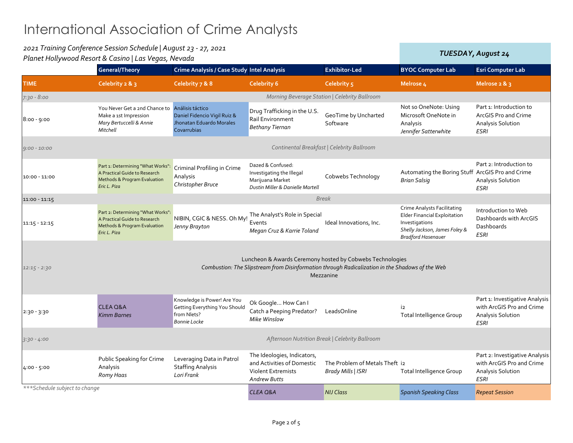| 2021 Training Conference Session Schedule   August 23 - 27, 2021<br>Planet Hollywood Resort & Casino   Las Vegas, Nevada |                                                                                                                               |                                                                                                    |                                                                                                               | <b>TUESDAY, August 24</b>                                                                                                                                                 |                                                                                                                                                    |                                                                                                        |
|--------------------------------------------------------------------------------------------------------------------------|-------------------------------------------------------------------------------------------------------------------------------|----------------------------------------------------------------------------------------------------|---------------------------------------------------------------------------------------------------------------|---------------------------------------------------------------------------------------------------------------------------------------------------------------------------|----------------------------------------------------------------------------------------------------------------------------------------------------|--------------------------------------------------------------------------------------------------------|
|                                                                                                                          | <b>General/Theory</b>                                                                                                         | Crime Analysis / Case Study Intel Analysis                                                         |                                                                                                               | <b>Exhibitor-Led</b>                                                                                                                                                      | <b>BYOC Computer Lab</b>                                                                                                                           | <b>Esri Computer Lab</b>                                                                               |
| <b>TIME</b>                                                                                                              | Celebrity 2 & 3                                                                                                               | Celebrity 7 & 8                                                                                    | <b>Celebrity 6</b>                                                                                            | Celebrity 5                                                                                                                                                               | Melrose <sub>4</sub>                                                                                                                               | Melrose $2 & 3$                                                                                        |
| $7:30 - 8:00$                                                                                                            |                                                                                                                               |                                                                                                    |                                                                                                               | Morning Beverage Station   Celebrity Ballroom                                                                                                                             |                                                                                                                                                    |                                                                                                        |
| $8:00 - 9:00$                                                                                                            | You Never Get a 2nd Chance to<br>Make a 1st Impression<br>Mary Bertuccelli & Annie<br>Mitchell                                | Análisis táctico<br>Daniel Fidencio Vigil Ruiz &<br>Jhonatan Eduardo Morales<br>Covarrubias        | Drug Trafficking in the U.S.<br>Rail Environment<br>Bethany Tiernan                                           | GeoTime by Uncharted<br>Software                                                                                                                                          | Not so OneNote: Using<br>Microsoft OneNote in<br>Analysis<br>Jennifer Satterwhite                                                                  | Part 1: Introduction to<br>ArcGIS Pro and Crime<br>Analysis Solution<br><b>ESRI</b>                    |
| $9:00 - 10:00$                                                                                                           |                                                                                                                               |                                                                                                    |                                                                                                               | Continental Breakfast   Celebrity Ballroom                                                                                                                                |                                                                                                                                                    |                                                                                                        |
| $10:00 - 11:00$                                                                                                          | Part 1: Determining "What Works":<br>A Practical Guide to Research<br>Methods & Program Evaluation<br>Eric L. Piza            | Criminal Profiling in Crime<br>Analysis<br>Christopher Bruce                                       | Dazed & Confused:<br>Investigating the Illegal<br>Marijuana Market<br>Dustin Miller & Danielle Martell        | Cobwebs Technology                                                                                                                                                        | Automating the Boring Stuff ArcGIS Pro and Crime<br><b>Brian Salsig</b>                                                                            | Part 2: Introduction to<br><b>Analysis Solution</b><br><b>ESRI</b>                                     |
| $11:00 - 11:15$                                                                                                          |                                                                                                                               |                                                                                                    |                                                                                                               | <b>Break</b>                                                                                                                                                              |                                                                                                                                                    |                                                                                                        |
| $11:15 - 12:15$                                                                                                          | Part 2: Determining "What Works":<br>A Practical Guide to Research<br><b>Methods &amp; Program Evaluation</b><br>Eric L. Piza | NIBIN, CGIC & NESS. Oh My!<br>Jenny Brayton                                                        | The Analyst's Role in Special<br>Events<br>Megan Cruz & Karrie Toland                                         | Ideal Innovations, Inc.                                                                                                                                                   | Crime Analysts Facilitating<br><b>Elder Financial Exploitation</b><br>Investigations<br>Shelly Jackson, James Foley &<br><b>Bradford Hasenauer</b> | Introduction to Web<br>Dashboards with ArcGIS<br>Dashboards<br><b>ESRI</b>                             |
| $12:15 - 2:30$                                                                                                           |                                                                                                                               |                                                                                                    |                                                                                                               | Luncheon & Awards Ceremony hosted by Cobwebs Technologies<br>Combustion: The Slipstream from Disinformation through Radicalization in the Shadows of the Web<br>Mezzanine |                                                                                                                                                    |                                                                                                        |
| $2:30 - 3:30$                                                                                                            | <b>CLEA Q&amp;A</b><br><b>Kimm Barnes</b>                                                                                     | Knowledge is Power! Are You<br>Getting Everything You Should<br>from Nlets?<br><b>Bonnie Locke</b> | Ok Google How Can I<br>Catch a Peeping Predator?<br>Mike Winslow                                              | LeadsOnline                                                                                                                                                               | i2<br><b>Total Intelligence Group</b>                                                                                                              | Part 1: Investigative Analysis<br>with ArcGIS Pro and Crime<br><b>Analysis Solution</b><br><b>ESRI</b> |
| $3:30 - 4:00$                                                                                                            |                                                                                                                               |                                                                                                    |                                                                                                               | Afternoon Nutrition Break   Celebrity Ballroom                                                                                                                            |                                                                                                                                                    |                                                                                                        |
| $4:00 - 5:00$                                                                                                            | Public Speaking for Crime<br>Analysis<br>Romy Haas                                                                            | Leveraging Data in Patrol<br><b>Staffing Analysis</b><br>Lori Frank                                | The Ideologies, Indicators,<br>and Activities of Domestic<br><b>Violent Extremists</b><br><b>Andrew Butts</b> | The Problem of Metals Theft i2<br>Brady Mills   ISRI                                                                                                                      | Total Intelligence Group                                                                                                                           | Part 2: Investigative Analysis<br>with ArcGIS Pro and Crime<br>Analysis Solution<br><b>ESRI</b>        |
| *** Schedule subject to change                                                                                           |                                                                                                                               |                                                                                                    | <b>CLEA Q&amp;A</b>                                                                                           | <b>NIJ Class</b>                                                                                                                                                          | <b>Spanish Speaking Class</b>                                                                                                                      | <b>Repeat Session</b>                                                                                  |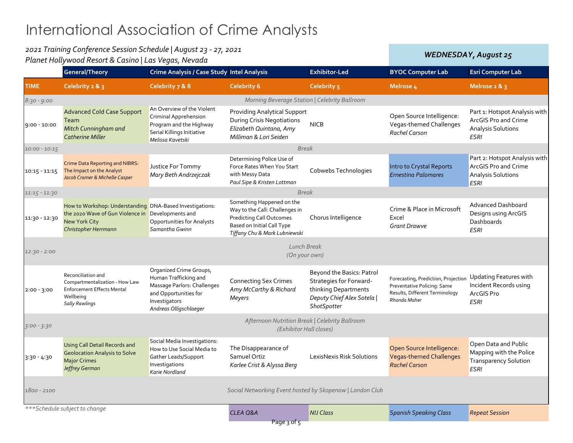| 2021 Training Conference Session Schedule   August 23 - 27, 2021<br>Planet Hollywood Resort & Casino   Las Vegas, Nevada |                                                                                                                                                        |                                                                                                                                                     |                                                                                                                                                               |                                                                                                                                  | <b>WEDNESDAY, August 25</b>                                                                                          |                                                                                                          |
|--------------------------------------------------------------------------------------------------------------------------|--------------------------------------------------------------------------------------------------------------------------------------------------------|-----------------------------------------------------------------------------------------------------------------------------------------------------|---------------------------------------------------------------------------------------------------------------------------------------------------------------|----------------------------------------------------------------------------------------------------------------------------------|----------------------------------------------------------------------------------------------------------------------|----------------------------------------------------------------------------------------------------------|
|                                                                                                                          | <b>General/Theory</b>                                                                                                                                  | Crime Analysis / Case Study Intel Analysis                                                                                                          |                                                                                                                                                               | <b>Exhibitor-Led</b>                                                                                                             | <b>BYOC Computer Lab</b>                                                                                             | <b>Esri Computer Lab</b>                                                                                 |
| <b>TIME</b>                                                                                                              | Celebrity 2 & 3                                                                                                                                        | Celebrity 7 & 8                                                                                                                                     | <b>Celebrity 6</b>                                                                                                                                            | Celebrity 5                                                                                                                      | Melrose <sub>4</sub>                                                                                                 | Melrose 2 & 3                                                                                            |
| $8:30 - 9:00$                                                                                                            |                                                                                                                                                        |                                                                                                                                                     | Morning Beverage Station   Celebrity Ballroom                                                                                                                 |                                                                                                                                  |                                                                                                                      |                                                                                                          |
| $9:00 - 10:00$                                                                                                           | <b>Advanced Cold Case Support</b><br>Team<br>Mitch Cunningham and<br><b>Catherine Miller</b>                                                           | An Overview of the Violent<br>Criminal Apprehension<br>Program and the Highway<br>Serial Killings Initiative<br>Melissa Kavetski                    | <b>Providing Analytical Support</b><br><b>During Crisis Negotiations</b><br>Elizabeth Quintana, Amy<br>Milliman & Lori Seiden                                 | <b>NICB</b>                                                                                                                      | Open Source Intelligence:<br>Vegas-themed Challenges<br><b>Rachel Carson</b>                                         | Part 1: Hotspot Analysis with<br>ArcGIS Pro and Crime<br><b>Analysis Solutions</b><br><b>ESRI</b>        |
| $10:00 - 10:15$                                                                                                          |                                                                                                                                                        |                                                                                                                                                     | <b>Break</b>                                                                                                                                                  |                                                                                                                                  |                                                                                                                      |                                                                                                          |
| $10:15 - 11:15$                                                                                                          | Crime Data Reporting and NIBRS:<br>The Impact on the Analyst<br>Jacob Cramer & Michelle Casper                                                         | Justice For Tommy<br>Mary Beth Andrzejczak                                                                                                          | Determining Police Use of<br>Force Rates When You Start<br>with Messy Data<br>Paul Sipe & Kristen Lottman                                                     | Cobwebs Technologies                                                                                                             | Intro to Crystal Reports<br><b>Ernestina Palomares</b>                                                               | Part 2: Hotspot Analysis with<br><b>ArcGIS Pro and Crime</b><br><b>Analysis Solutions</b><br><b>ESRI</b> |
| $11:15 - 11:30$                                                                                                          |                                                                                                                                                        |                                                                                                                                                     | <b>Break</b>                                                                                                                                                  |                                                                                                                                  |                                                                                                                      |                                                                                                          |
| 11:30 - 12:30                                                                                                            | How to Workshop: Understanding DNA-Based Investigations:<br>the 2020 Wave of Gun Violence in Developments and<br>New York City<br>Christopher Herrmann | <b>Opportunities for Analysts</b><br>Samantha Gwinn                                                                                                 | Something Happened on the<br>Way to the Call: Challenges in<br><b>Predicting Call Outcomes</b><br>Based on Initial Call Type<br>Tiffany Chu & Mark Lubniewski | Chorus Intelligence                                                                                                              | Crime & Place in Microsoft<br>Excel<br><b>Grant Drawve</b>                                                           | Advanced Dashboard<br>Designs using ArcGIS<br>Dashboards<br><b>ESRI</b>                                  |
| $12:30 - 2:00$                                                                                                           |                                                                                                                                                        |                                                                                                                                                     | Lunch Break<br>(On your own)                                                                                                                                  |                                                                                                                                  |                                                                                                                      |                                                                                                          |
| $2:00 - 3:00$                                                                                                            | Reconciliation and<br>Compartmentalization - How Law<br><b>Enforcement Effects Mental</b><br>Wellbeing<br><b>Sally Rawlings</b>                        | Organized Crime Groups,<br>Human Trafficking and<br>Massage Parlors: Challenges<br>and Opportunities for<br>Investigators<br>Andreas Olligschlaeger | <b>Connecting Sex Crimes</b><br>Amy McCarthy & Richard<br>Meyers                                                                                              | Beyond the Basics: Patrol<br>Strategies for Forward-<br>thinking Departments<br>Deputy Chief Alex Sotela  <br><b>ShotSpotter</b> | Forecasting, Prediction, Projection<br>Preventative Policing: Same<br>Results, Different Terminology<br>Rhonda Maher | <b>Updating Features with</b><br>Incident Records using<br>ArcGIS Pro<br><b>ESRI</b>                     |
| $3:00 - 3:30$                                                                                                            |                                                                                                                                                        |                                                                                                                                                     | Afternoon Nutrition Break   Celebrity Ballroom<br>(Exhibitor Hall closes)                                                                                     |                                                                                                                                  |                                                                                                                      |                                                                                                          |
| $3:30 - 4:30$                                                                                                            | <b>Using Call Detail Records and</b><br><b>Geolocation Analysis to Solve</b><br><b>Major Crimes</b><br>Jeffrey German                                  | Social Media Investigations:<br>How to Use Social Media to<br>Gather Leads/Support<br>Investigations<br>Karie Nordland                              | The Disappearance of<br>Samuel Ortiz<br>Karlee Crist & Alyssa Berg                                                                                            | LexisNexis Risk Solutions                                                                                                        | Open Source Intelligence:<br><b>Vegas-themed Challenges</b><br><b>Rachel Carson</b>                                  | Open Data and Public<br>Mapping with the Police<br><b>Transparency Solution</b><br><b>ESRI</b>           |
| 1800 - 2100                                                                                                              |                                                                                                                                                        |                                                                                                                                                     | Social Networking Event hosted by Skopenow   London Club                                                                                                      |                                                                                                                                  |                                                                                                                      |                                                                                                          |
|                                                                                                                          | *** Schedule subject to change                                                                                                                         |                                                                                                                                                     | <b>CLEA Q&amp;A</b><br>Page 3 of 5                                                                                                                            | <b>NIJ Class</b>                                                                                                                 | <b>Spanish Speaking Class</b>                                                                                        | <b>Repeat Session</b>                                                                                    |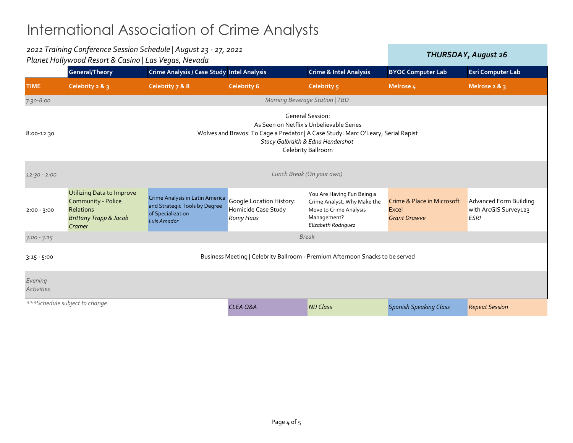| 2021 Training Conference Session Schedule   August 23 - 27, 2021<br>Planet Hollywood Resort & Casino   Las Vegas, Nevada |                                                                                                                                                                                                                     |                                                                                                      |                                                              |                                                                                                                           | THURSDAY, August 26                                                   |                                                                       |  |  |
|--------------------------------------------------------------------------------------------------------------------------|---------------------------------------------------------------------------------------------------------------------------------------------------------------------------------------------------------------------|------------------------------------------------------------------------------------------------------|--------------------------------------------------------------|---------------------------------------------------------------------------------------------------------------------------|-----------------------------------------------------------------------|-----------------------------------------------------------------------|--|--|
|                                                                                                                          | <b>General/Theory</b>                                                                                                                                                                                               | Crime Analysis / Case Study Intel Analysis                                                           |                                                              | <b>Crime &amp; Intel Analysis</b>                                                                                         | <b>BYOC Computer Lab</b>                                              | <b>Esri Computer Lab</b>                                              |  |  |
| <b>TIME</b>                                                                                                              | Celebrity 2 & 3                                                                                                                                                                                                     | Celebrity 7 & 8                                                                                      | <b>Celebrity 6</b>                                           | Celebrity 5                                                                                                               | Melrose 4                                                             | Melrose $2 & 8$ 3                                                     |  |  |
| $7:30 - 8:00$                                                                                                            |                                                                                                                                                                                                                     |                                                                                                      |                                                              | Morning Beverage Station   TBD                                                                                            |                                                                       |                                                                       |  |  |
| 8:00-12:30                                                                                                               | <b>General Session:</b><br>As Seen on Netflix's Unbelievable Series<br>Wolves and Bravos: To Cage a Predator   A Case Study: Marc O'Leary, Serial Rapist<br>Stacy Galbraith & Edna Hendershot<br>Celebrity Ballroom |                                                                                                      |                                                              |                                                                                                                           |                                                                       |                                                                       |  |  |
| $12:30 - 2:00$                                                                                                           | Lunch Break (On your own)                                                                                                                                                                                           |                                                                                                      |                                                              |                                                                                                                           |                                                                       |                                                                       |  |  |
| $2:00 - 3:00$                                                                                                            | <b>Utilizing Data to Improve</b><br>Community - Police<br><b>Relations</b><br><b>Brittany Trapp &amp; Jacob</b><br>Cramer                                                                                           | Crime Analysis in Latin America<br>and Strategic Tools by Degree<br>of Specialization<br>Luis Amador | Google Location History:<br>Homicide Case Study<br>Romy Haas | You Are Having Fun Being a<br>Crime Analyst. Why Make the<br>Move to Crime Analysis<br>Management?<br>Elizabeth Rodriguez | <b>Crime &amp; Place in Microsoft</b><br>Excel<br><b>Grant Drawve</b> | <b>Advanced Form Building</b><br>with ArcGIS Survey123<br><b>ESRI</b> |  |  |
| $3:00 - 3:15$                                                                                                            | <b>Break</b>                                                                                                                                                                                                        |                                                                                                      |                                                              |                                                                                                                           |                                                                       |                                                                       |  |  |
| $3:15 - 5:00$                                                                                                            | Business Meeting   Celebrity Ballroom - Premium Afternoon Snacks to be served                                                                                                                                       |                                                                                                      |                                                              |                                                                                                                           |                                                                       |                                                                       |  |  |
| Evening<br><b>Activities</b>                                                                                             |                                                                                                                                                                                                                     |                                                                                                      |                                                              |                                                                                                                           |                                                                       |                                                                       |  |  |
| ***Schedule subject to change                                                                                            |                                                                                                                                                                                                                     |                                                                                                      | <b>CLEA Q&amp;A</b>                                          | <b>NIJ Class</b>                                                                                                          | <b>Spanish Speaking Class</b>                                         | <b>Repeat Session</b>                                                 |  |  |